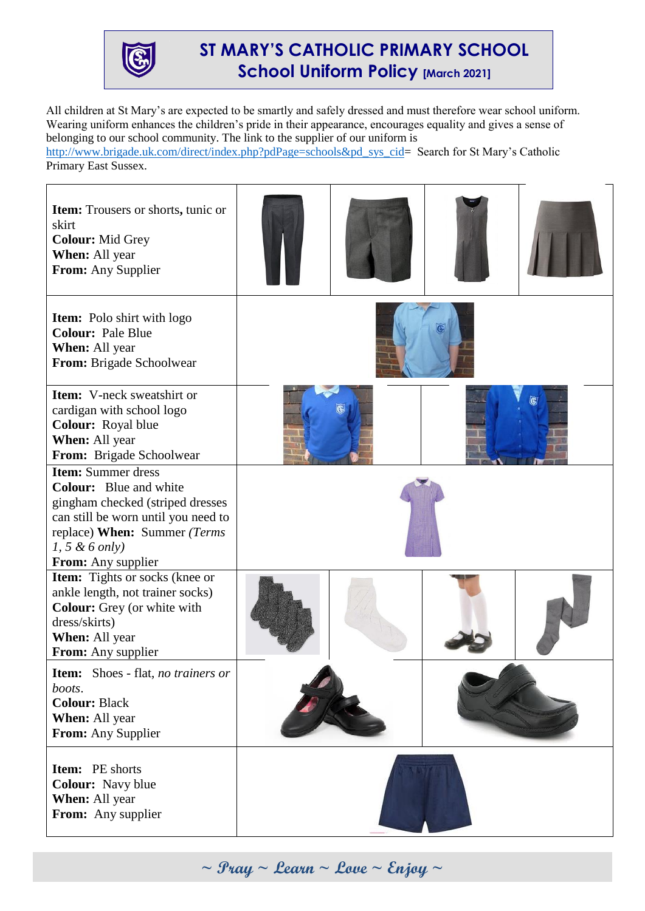

## **ST MARY'S CATHOLIC PRIMARY SCHOOL School Uniform Policy [March 2021]**

All children at St Mary's are expected to be smartly and safely dressed and must therefore wear school uniform. Wearing uniform enhances the children's pride in their appearance, encourages equality and gives a sense of belonging to our school community. The link to the supplier of our uniform is

[http://www.brigade.uk.com/direct/index.php?pdPage=schools&pd\\_sys\\_cid=](http://www.brigade.uk.com/direct/index.php?pdPage=schools&pd_sys_cid) Search for St Mary's Catholic Primary East Sussex.



**~ Pray ~ Learn ~ Love ~ Enjoy ~**